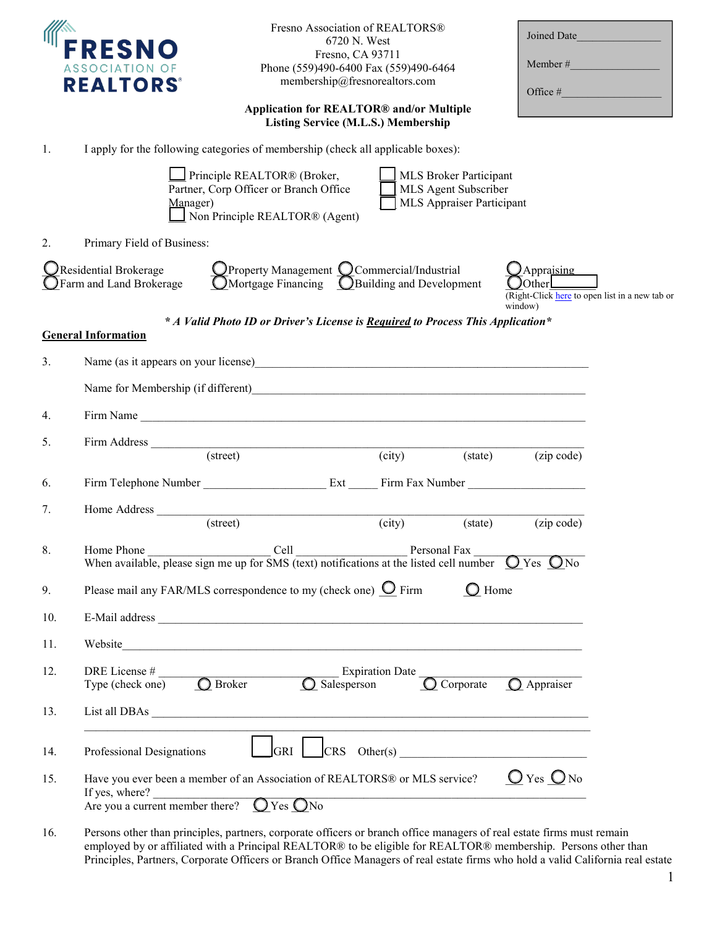|     | ASSOCIATION OF<br><b>REALTORS</b> <sup>®</sup>   | Fresno Association of REALTORS®<br>6720 N. West<br>Fresno, CA 93711<br>Phone (559)490-6400 Fax (559)490-6464<br>membership@fresnorealtors.com                                                                                 |                                                                                    | Joined Date and Society and Society<br>Member # 2007<br>Office $\#$               |
|-----|--------------------------------------------------|-------------------------------------------------------------------------------------------------------------------------------------------------------------------------------------------------------------------------------|------------------------------------------------------------------------------------|-----------------------------------------------------------------------------------|
|     |                                                  | <b>Application for REALTOR® and/or Multiple</b><br>Listing Service (M.L.S.) Membership                                                                                                                                        |                                                                                    |                                                                                   |
| 1.  |                                                  | I apply for the following categories of membership (check all applicable boxes):                                                                                                                                              |                                                                                    |                                                                                   |
|     | Manager)                                         | Principle REALTOR® (Broker,<br>Partner, Corp Officer or Branch Office<br>Non Principle REALTOR® (Agent)                                                                                                                       | MLS Broker Participant<br>MLS Agent Subscriber<br><b>MLS Appraiser Participant</b> |                                                                                   |
| 2.  | Primary Field of Business:                       |                                                                                                                                                                                                                               |                                                                                    |                                                                                   |
|     | Residential Brokerage<br>Farm and Land Brokerage | $\mathbb{Q}$ Property Management $\mathbb{Q}$ Commercial/Industrial<br>OMortgage Financing OBuilding and Development                                                                                                          |                                                                                    | Appraising<br>OtherL<br>(Right-Click here to open list in a new tab or<br>window) |
|     | <b>General Information</b>                       | * A Valid Photo ID or Driver's License is Required to Process This Application*                                                                                                                                               |                                                                                    |                                                                                   |
| 3.  |                                                  | Name (as it appears on your license) example and the state of the state of the state of the state of the state of the state of the state of the state of the state of the state of the state of the state of the state of the |                                                                                    |                                                                                   |
|     |                                                  |                                                                                                                                                                                                                               |                                                                                    |                                                                                   |
| 4.  |                                                  | Firm Name                                                                                                                                                                                                                     |                                                                                    |                                                                                   |
| 5.  |                                                  | Firm Address (street) (street)                                                                                                                                                                                                |                                                                                    |                                                                                   |
|     |                                                  |                                                                                                                                                                                                                               | $\overline{(city)}$<br>$(\text{state})$                                            | (zip code)                                                                        |
| 6.  |                                                  |                                                                                                                                                                                                                               |                                                                                    |                                                                                   |
| 7.  | Home Address                                     | (street)                                                                                                                                                                                                                      | (city)<br>(state)                                                                  | (zip code)                                                                        |
| 8.  | Home Phone                                       | Home Phone $\frac{\text{Cell}}{\text{When available, please sign me up for SMS (text) notifications at the listed cell number } \overline{O} \text{ Yes } \overline{O} \text{ No}}$                                           |                                                                                    |                                                                                   |
| 9.  |                                                  | Please mail any FAR/MLS correspondence to my (check one) $\bigcirc$ Firm                                                                                                                                                      | $\bigcirc$ Home                                                                    |                                                                                   |
| 10. |                                                  |                                                                                                                                                                                                                               |                                                                                    |                                                                                   |
| 11. |                                                  | Website                                                                                                                                                                                                                       |                                                                                    |                                                                                   |
| 12. |                                                  | DRE License #<br>Type (check one) $\overline{O}$ Broker $\overline{O}$ Salesperson $\overline{O}$ Corporate $\overline{O}$ Appraiser                                                                                          |                                                                                    |                                                                                   |
| 13. |                                                  |                                                                                                                                                                                                                               |                                                                                    |                                                                                   |
| 14. | Professional Designations                        | <b>GRI</b>                                                                                                                                                                                                                    | $CRS$ Other(s)                                                                     |                                                                                   |
| 15. |                                                  | Have you ever been a member of an Association of REALTORS® or MLS service?                                                                                                                                                    |                                                                                    | $Q$ Yes $Q$ No                                                                    |
|     |                                                  | Are you a current member there? $QYesQNo$                                                                                                                                                                                     |                                                                                    |                                                                                   |

16. Persons other than principles, partners, corporate officers or branch office managers of real estate firms must remain employed by or affiliated with a Principal REALTOR® to be eligible for REALTOR® membership. Persons other than Principles, Partners, Corporate Officers or Branch Office Managers of real estate firms who hold a valid California real estate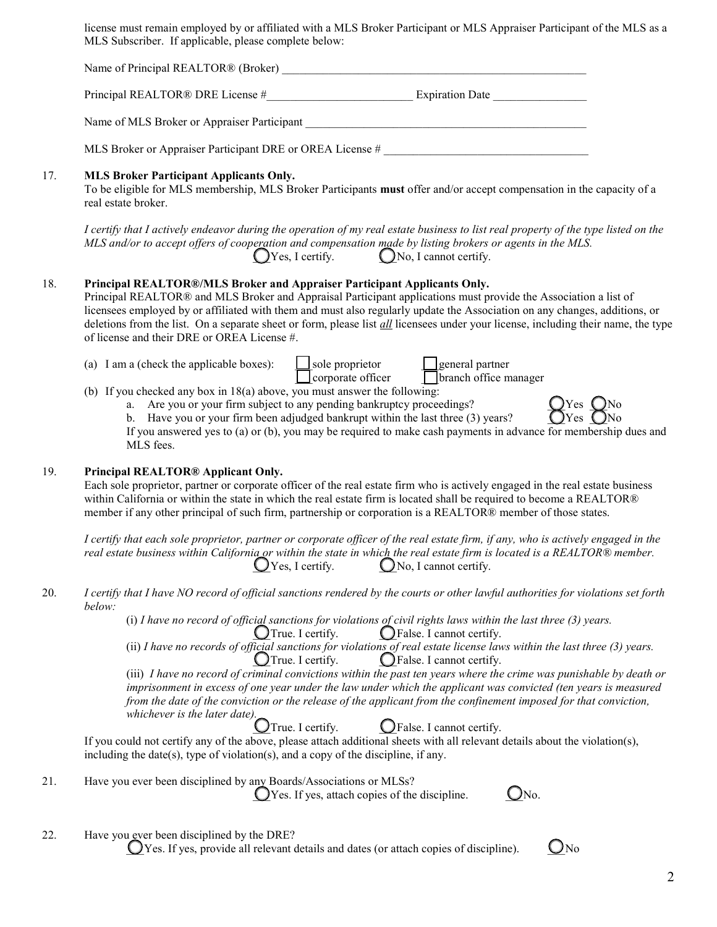license must remain employed by or affiliated with a MLS Broker Participant or MLS Appraiser Participant of the MLS as a MLS Subscriber. If applicable, please complete below:

|     | MLS Subscriber. If applicable, please complete below.                                                                                                                                                                                                                                                                                                                                                                                                                                                                 |
|-----|-----------------------------------------------------------------------------------------------------------------------------------------------------------------------------------------------------------------------------------------------------------------------------------------------------------------------------------------------------------------------------------------------------------------------------------------------------------------------------------------------------------------------|
|     | Name of Principal REALTOR® (Broker)                                                                                                                                                                                                                                                                                                                                                                                                                                                                                   |
|     |                                                                                                                                                                                                                                                                                                                                                                                                                                                                                                                       |
|     | Name of MLS Broker or Appraiser Participant                                                                                                                                                                                                                                                                                                                                                                                                                                                                           |
|     | MLS Broker or Appraiser Participant DRE or OREA License #                                                                                                                                                                                                                                                                                                                                                                                                                                                             |
| 17. | <b>MLS Broker Participant Applicants Only.</b><br>To be eligible for MLS membership, MLS Broker Participants must offer and/or accept compensation in the capacity of a<br>real estate broker.                                                                                                                                                                                                                                                                                                                        |
|     | I certify that I actively endeavor during the operation of my real estate business to list real property of the type listed on the<br>MLS and/or to accept offers of cooperation and compensation made by listing brokers or agents in the MLS.<br>$O$ Yes, I certify. $O$ No, I cannot certify.                                                                                                                                                                                                                      |
| 18. | Principal REALTOR®/MLS Broker and Appraiser Participant Applicants Only.<br>Principal REALTOR® and MLS Broker and Appraisal Participant applications must provide the Association a list of<br>licensees employed by or affiliated with them and must also regularly update the Association on any changes, additions, or<br>deletions from the list. On a separate sheet or form, please list <i>all</i> licensees under your license, including their name, the type<br>of license and their DRE or OREA License #. |
|     | (a) I am a (check the applicable boxes): $\Box$ sole proprietor $\Box$ general partner $\Box$ sole proprietor $\Box$ sole proprietor                                                                                                                                                                                                                                                                                                                                                                                  |
|     | (b) If you checked any box in $18(a)$ above, you must answer the following:<br>$y_{\text{Yes}} \bigcirc_{\text{No}}$<br>a. Are you or your firm subject to any pending bankruptcy proceedings?<br>$\overline{O}$ Yes $\overline{O}$ No<br>b. Have you or your firm been adjudged bankrupt within the last three (3) years?<br>If you answered yes to (a) or (b), you may be required to make cash payments in advance for membership dues and<br>MLS fees.                                                            |
| 19. | Principal REALTOR® Applicant Only.<br>Each sole proprietor, partner or corporate officer of the real estate firm who is actively engaged in the real estate business<br>within California or within the state in which the real estate firm is located shall be required to become a REALTOR®<br>member if any other principal of such firm, partnership or corporation is a REALTOR® member of those states.                                                                                                         |
|     | I certify that each sole proprietor, partner or corporate officer of the real estate firm, if any, who is actively engaged in the<br>real estate business within California or within the state in which the real estate firm is located is a REALTOR® member.<br>$\mathbb{O}$ Yes, I certify. $\mathbb{O}$ No, I cannot certify.                                                                                                                                                                                     |

20. I certify that I have NO record of official sanctions rendered by the courts or other lawful authorities for violations set forth below:

> (i) I have no record of official sanctions for violations of civil rights laws within the last three (3) years.  $\bigcup$ True. I certify.  $\bigcup$  False. I cannot certify.

(ii) I have no records of official sanctions for violations of real estate license laws within the last three (3) years.<br>  $\bigcirc$  True. I certify.  $\bigcirc$  False. I cannot certify.  $Q$  False. I cannot certify.

(iii) I have no record of criminal convictions within the past ten years where the crime was punishable by death or imprisonment in excess of one year under the law under which the applicant was convicted (ten years is measured from the date of the conviction or the release of the applicant from the confinement imposed for that conviction, whichever is the later date)  $\sum_{\text{True}}$  I certify.  $\sum_{\text{False}}$  I cannot certify.

|                                                                                                                              | $\cup$ 1140. I odiniy. | $\bigcup$ range. Tealmot exitity. |  |
|------------------------------------------------------------------------------------------------------------------------------|------------------------|-----------------------------------|--|
| If you could not certify any of the above, please attach additional sheets with all relevant details about the violation(s), |                        |                                   |  |
| including the date(s), type of violation(s), and a copy of the discipline, if any.                                           |                        |                                   |  |

21. Have you ever been disciplined by any Boards/Associations or MLSs?

 $Q$ Yes. If yes, attach copies of the discipline.  $Q$ No.

22. Have you ever been disciplined by the DRE?

 $QY$ es. If yes, provide all relevant details and dates (or attach copies of discipline).  $QN$ o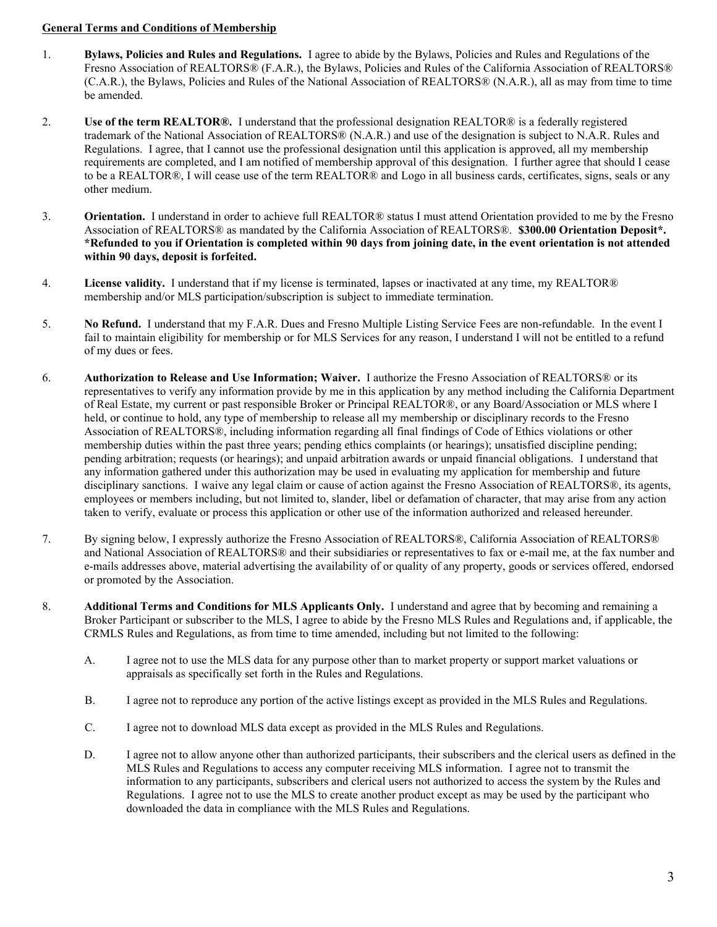#### General Terms and Conditions of Membership

- 1. Bylaws, Policies and Rules and Regulations. I agree to abide by the Bylaws, Policies and Rules and Regulations of the Fresno Association of REALTORS® (F.A.R.), the Bylaws, Policies and Rules of the California Association of REALTORS® (C.A.R.), the Bylaws, Policies and Rules of the National Association of REALTORS® (N.A.R.), all as may from time to time be amended.
- 2. Use of the term REALTOR®. I understand that the professional designation REALTOR® is a federally registered trademark of the National Association of REALTORS® (N.A.R.) and use of the designation is subject to N.A.R. Rules and Regulations. I agree, that I cannot use the professional designation until this application is approved, all my membership requirements are completed, and I am notified of membership approval of this designation. I further agree that should I cease to be a REALTOR®, I will cease use of the term REALTOR® and Logo in all business cards, certificates, signs, seals or any other medium.
- 3. Orientation. I understand in order to achieve full REALTOR® status I must attend Orientation provided to me by the Fresno Association of REALTORS® as mandated by the California Association of REALTORS®. \$**3**00.00 Orientation Deposit\*. \*Refunded to you if Orientation is completed within 90 days from joining date, in the event orientation is not attended within 90 days, deposit is forfeited.
- 4. License validity. I understand that if my license is terminated, lapses or inactivated at any time, my REALTOR® membership and/or MLS participation/subscription is subject to immediate termination.
- 5. No Refund. I understand that my F.A.R. Dues and Fresno Multiple Listing Service Fees are non-refundable. In the event I fail to maintain eligibility for membership or for MLS Services for any reason, I understand I will not be entitled to a refund of my dues or fees.
- 6. Authorization to Release and Use Information; Waiver. I authorize the Fresno Association of REALTORS® or its representatives to verify any information provide by me in this application by any method including the California Department of Real Estate, my current or past responsible Broker or Principal REALTOR®, or any Board/Association or MLS where I held, or continue to hold, any type of membership to release all my membership or disciplinary records to the Fresno Association of REALTORS®, including information regarding all final findings of Code of Ethics violations or other membership duties within the past three years; pending ethics complaints (or hearings); unsatisfied discipline pending; pending arbitration; requests (or hearings); and unpaid arbitration awards or unpaid financial obligations. I understand that any information gathered under this authorization may be used in evaluating my application for membership and future disciplinary sanctions. I waive any legal claim or cause of action against the Fresno Association of REALTORS®, its agents, employees or members including, but not limited to, slander, libel or defamation of character, that may arise from any action taken to verify, evaluate or process this application or other use of the information authorized and released hereunder.
- 7. By signing below, I expressly authorize the Fresno Association of REALTORS®, California Association of REALTORS® and National Association of REALTORS® and their subsidiaries or representatives to fax or e-mail me, at the fax number and e-mails addresses above, material advertising the availability of or quality of any property, goods or services offered, endorsed or promoted by the Association.
- 8. Additional Terms and Conditions for MLS Applicants Only. I understand and agree that by becoming and remaining a Broker Participant or subscriber to the MLS, I agree to abide by the Fresno MLS Rules and Regulations and, if applicable, the CRMLS Rules and Regulations, as from time to time amended, including but not limited to the following:
	- A. I agree not to use the MLS data for any purpose other than to market property or support market valuations or appraisals as specifically set forth in the Rules and Regulations.
	- B. I agree not to reproduce any portion of the active listings except as provided in the MLS Rules and Regulations.
	- C. I agree not to download MLS data except as provided in the MLS Rules and Regulations.
	- D. I agree not to allow anyone other than authorized participants, their subscribers and the clerical users as defined in the MLS Rules and Regulations to access any computer receiving MLS information. I agree not to transmit the information to any participants, subscribers and clerical users not authorized to access the system by the Rules and Regulations. I agree not to use the MLS to create another product except as may be used by the participant who downloaded the data in compliance with the MLS Rules and Regulations.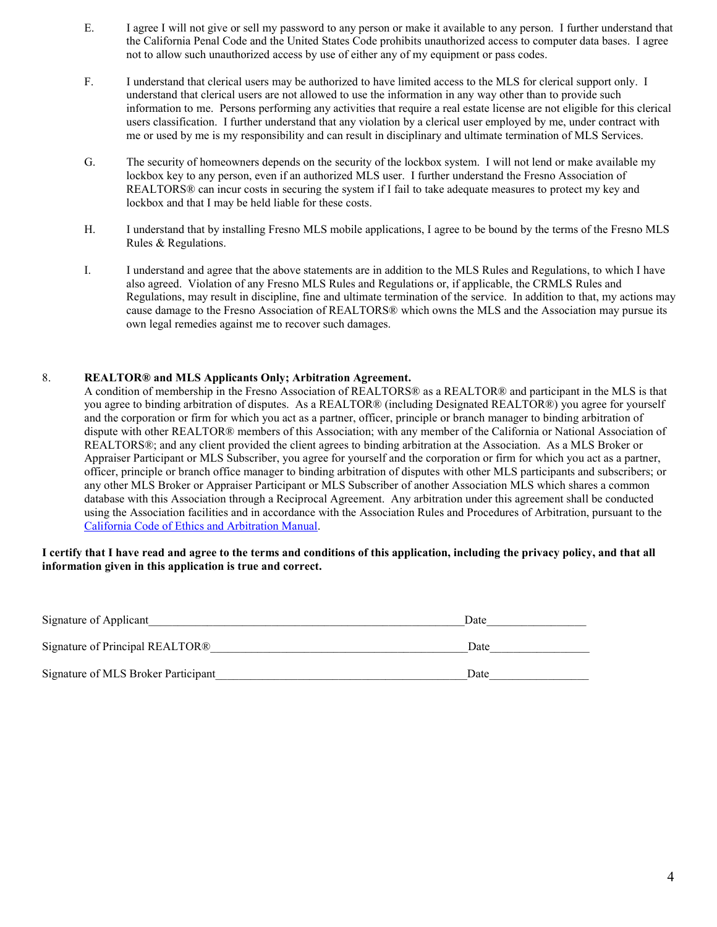- E. I agree I will not give or sell my password to any person or make it available to any person. I further understand that the California Penal Code and the United States Code prohibits unauthorized access to computer data bases. I agree not to allow such unauthorized access by use of either any of my equipment or pass codes.
- F. I understand that clerical users may be authorized to have limited access to the MLS for clerical support only. I understand that clerical users are not allowed to use the information in any way other than to provide such information to me. Persons performing any activities that require a real estate license are not eligible for this clerical users classification. I further understand that any violation by a clerical user employed by me, under contract with me or used by me is my responsibility and can result in disciplinary and ultimate termination of MLS Services.
- G. The security of homeowners depends on the security of the lockbox system. I will not lend or make available my lockbox key to any person, even if an authorized MLS user. I further understand the Fresno Association of REALTORS® can incur costs in securing the system if I fail to take adequate measures to protect my key and lockbox and that I may be held liable for these costs.
- H. I understand that by installing Fresno MLS mobile applications, I agree to be bound by the terms of the Fresno MLS Rules & Regulations.
- I. I understand and agree that the above statements are in addition to the MLS Rules and Regulations, to which I have also agreed. Violation of any Fresno MLS Rules and Regulations or, if applicable, the CRMLS Rules and Regulations, may result in discipline, fine and ultimate termination of the service. In addition to that, my actions may cause damage to the Fresno Association of REALTORS® which owns the MLS and the Association may pursue its own legal remedies against me to recover such damages.

### 8. REALTOR® and MLS Applicants Only; Arbitration Agreement.

A condition of membership in the Fresno Association of REALTORS® as a REALTOR® and participant in the MLS is that you agree to binding arbitration of disputes. As a REALTOR® (including Designated REALTOR®) you agree for yourself and the corporation or firm for which you act as a partner, officer, principle or branch manager to binding arbitration of dispute with other REALTOR® members of this Association; with any member of the California or National Association of REALTORS®; and any client provided the client agrees to binding arbitration at the Association. As a MLS Broker or Appraiser Participant or MLS Subscriber, you agree for yourself and the corporation or firm for which you act as a partner, officer, principle or branch office manager to binding arbitration of disputes with other MLS participants and subscribers; or any other MLS Broker or Appraiser Participant or MLS Subscriber of another Association MLS which shares a common database with this Association through a Reciprocal Agreement. Any arbitration under this agreement shall be conducted using the Association facilities and in accordance with the Association Rules and Procedures of Arbitration, pursuant to the [California Code of Ethics and Arbitration Manual](https://www.sccaor.com/forms/disputecenter/CAR_COE_Arb_Manual.pdf).

## I certify that I have read and agree to the terms and conditions of this application, including the privacy policy, and that all information given in this application is true and correct.

| Signature of Applicant              | Date |
|-------------------------------------|------|
| Signature of Principal REALTOR®     | Date |
| Signature of MLS Broker Participant | Date |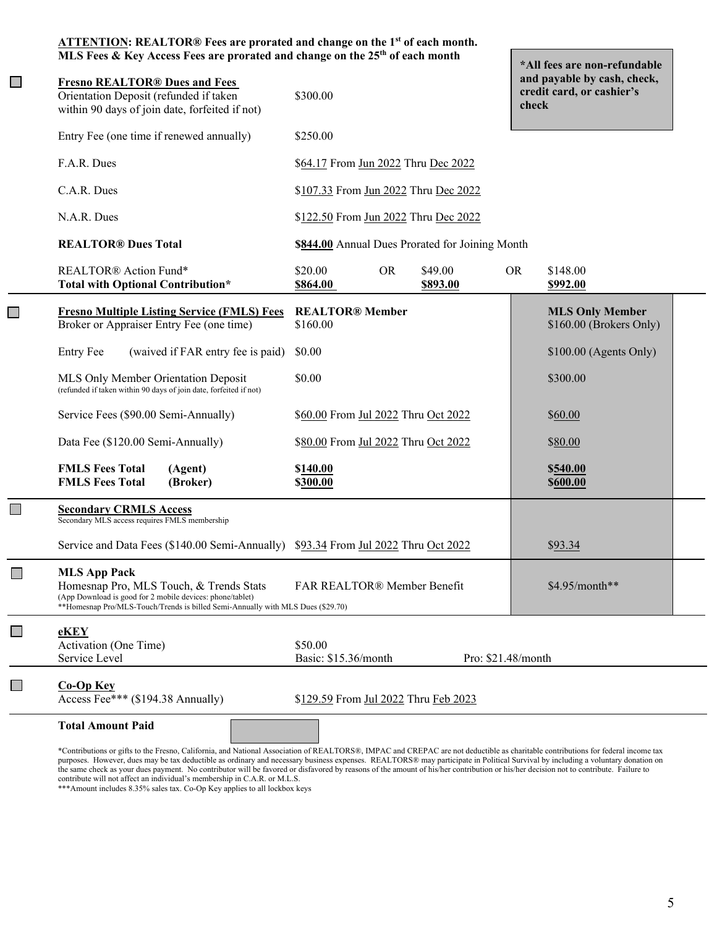**ATTENTION: REALTOR® Fees are prorated and change on the 1st of each month. MLS Fees & Key Access Fees are prorated and change on the 25th of each month**

 $\Box$ 

 $\Box$ 

 $\mathcal{L}_{\mathcal{A}}$ 

 $\Box$ 

 $\Box$ 

 $\blacksquare$ 

|                                                                                                                                                                                                                |                                                         | *All fees are non-refundable                                      |  |  |
|----------------------------------------------------------------------------------------------------------------------------------------------------------------------------------------------------------------|---------------------------------------------------------|-------------------------------------------------------------------|--|--|
| <b>Fresno REALTOR® Dues and Fees</b><br>Orientation Deposit (refunded if taken<br>within 90 days of join date, forfeited if not)                                                                               | \$300.00                                                | and payable by cash, check,<br>credit card, or cashier's<br>check |  |  |
| Entry Fee (one time if renewed annually)                                                                                                                                                                       | \$250.00                                                |                                                                   |  |  |
| F.A.R. Dues                                                                                                                                                                                                    | \$64.17 From Jun 2022 Thru Dec 2022                     |                                                                   |  |  |
| C.A.R. Dues                                                                                                                                                                                                    | \$107.33 From Jun 2022 Thru Dec 2022                    |                                                                   |  |  |
| N.A.R. Dues                                                                                                                                                                                                    | \$122.50 From Jun 2022 Thru Dec 2022                    |                                                                   |  |  |
| <b>REALTOR® Dues Total</b>                                                                                                                                                                                     | \$844.00 Annual Dues Prorated for Joining Month         |                                                                   |  |  |
| REALTOR® Action Fund*<br><b>Total with Optional Contribution*</b>                                                                                                                                              | \$49.00<br>\$20.00<br><b>OR</b><br>\$864.00<br>\$893.00 | <b>OR</b><br>\$148.00<br>\$992.00                                 |  |  |
| <b>Fresno Multiple Listing Service (FMLS) Fees</b><br>Broker or Appraiser Entry Fee (one time)                                                                                                                 | <b>REALTOR® Member</b><br>\$160.00                      | <b>MLS Only Member</b><br>\$160.00 (Brokers Only)                 |  |  |
| (waived if FAR entry fee is paid)<br><b>Entry Fee</b>                                                                                                                                                          | \$0.00                                                  | $$100.00$ (Agents Only)                                           |  |  |
| MLS Only Member Orientation Deposit<br>(refunded if taken within 90 days of join date, forfeited if not)                                                                                                       | \$0.00                                                  | \$300.00                                                          |  |  |
| Service Fees (\$90.00 Semi-Annually)                                                                                                                                                                           | \$60.00 From Jul 2022 Thru Oct 2022                     | \$60.00                                                           |  |  |
| Data Fee (\$120.00 Semi-Annually)                                                                                                                                                                              | \$80.00 From Jul 2022 Thru Oct 2022                     | \$80.00                                                           |  |  |
| <b>FMLS Fees Total</b><br>(Agent)<br><b>FMLS Fees Total</b><br>(Broker)                                                                                                                                        | \$140.00<br>\$300.00                                    | \$540.00<br>\$600.00                                              |  |  |
| <b>Secondary CRMLS Access</b><br>Secondary MLS access requires FMLS membership                                                                                                                                 |                                                         |                                                                   |  |  |
| Service and Data Fees (\$140.00 Semi-Annually) \$93.34 From Jul 2022 Thru Oct 2022                                                                                                                             |                                                         | \$93.34                                                           |  |  |
| <b>MLS App Pack</b><br>Homesnap Pro, MLS Touch, & Trends Stats<br>(App Download is good for 2 mobile devices: phone/tablet)<br>**Homesnap Pro/MLS-Touch/Trends is billed Semi-Annually with MLS Dues (\$29.70) | FAR REALTOR® Member Benefit                             | \$4.95/month**                                                    |  |  |
| eKEY<br>Activation (One Time)<br>Service Level                                                                                                                                                                 | \$50.00<br>Basic: \$15.36/month<br>Pro: \$21.48/month   |                                                                   |  |  |
| <b>Co-Op Key</b><br>Access Fee*** (\$194.38 Annually)                                                                                                                                                          | \$129.59 From Jul 2022 Thru Feb 2023                    |                                                                   |  |  |
|                                                                                                                                                                                                                |                                                         |                                                                   |  |  |

the same check as your dues payment. No contributor will be favored or disfavored by reasons of the amount of his/her contribution or his/her decision not to contribute. Failure to contribute will not affect an individual's membership in C.A.R. or M.L.S.

\*\*\*Amount includes 8.35% sales tax. Co-Op Key applies to all lockbox keys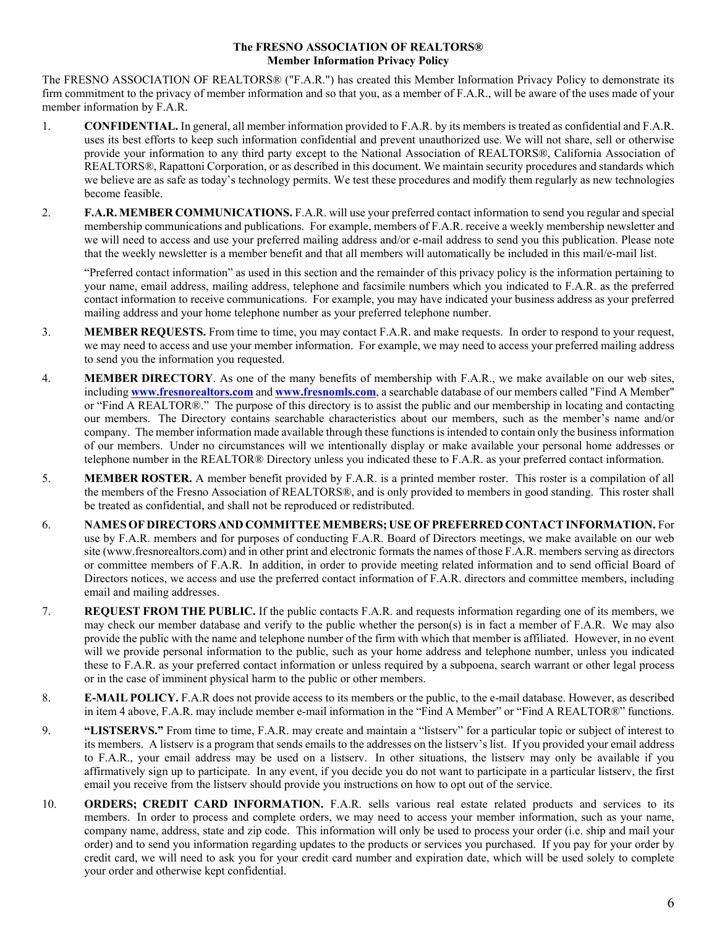### **The FRESNO ASSOCIATION OF REALTORS® Member Information Privacy Policy**

The FRESNO ASSOCIATION OF REALTORS® ("F.A.R.") has created this Member Information Privacy Policy to demonstrate its firm commitment to the privacy of member information and so that you, as a member of F.A.R., will be aware of the uses made of your member information by F.A.R.

- 1. **CONFIDENTIAL.** In general, all member information provided to F.A.R. by its members is treated as confidential and F.A.R. uses its best efforts to keep such information confidential and prevent unauthorized use. We will not share, sell or otherwise provide your information to any third party except to the National Association of REALTORS®, California Association of REALTORS®, Rapattoni Corporation, or as described in this document. We maintain security procedures and standards which we believe are as safe as today's technology permits. We test these procedures and modify them regularly as new technologies become feasible.
- 2. **F.A.R. MEMBER COMMUNICATIONS.** F.A.R. will use your preferred contact information to send you regular and special membership communications and publications. For example, members of F.A.R. receive a weekly membership newsletter and we will need to access and use your preferred mailing address and/or e-mail address to send you this publication. Please note that the weekly newsletter is a member benefit and that all members will automatically be included in this mail/e-mail list.

"Preferred contact information" as used in this section and the remainder of this privacy policy is the information pertaining to your name, email address, mailing address, telephone and facsimile numbers which you indicated to F.A.R. as the preferred contact information to receive communications. For example, you may have indicated your business address as your preferred mailing address and your home telephone number as your preferred telephone number.

- 3. **MEMBER REQUESTS.** From time to time, you may contact F.A.R. and make requests. In order to respond to your request, we may need to access and use your member information. For example, we may need to access your preferred mailing address to send you the information you requested.
- 4. **MEMBER DIRECTORY**. As one of the many benefits of membership with F.A.R., we make available on our web sites, including **www.fresnorealtors.com** and **www.fresnomls.com**, a searchable database of our members called "Find A Member" or "Find A REALTOR®." The purpose of this directory is to assist the public and our membership in locating and contacting our members. The Directory contains searchable characteristics about our members, such as the member's name and/or company. The member information made available through these functions is intended to contain only the business information of our members. Under no circumstances will we intentionally display or make available your personal home addresses or telephone number in the REALTOR® Directory unless you indicated these to F.A.R. as your preferred contact information.
- 5. **MEMBER ROSTER.** A member benefit provided by F.A.R. is a printed member roster. This roster is a compilation of all the members of the Fresno Association of REALTORS®, and is only provided to members in good standing. This roster shall be treated as confidential, and shall not be reproduced or redistributed.
- 6. **NAMES OF DIRECTORS AND COMMITTEE MEMBERS; USE OF PREFERRED CONTACTINFORMATION.** For use by F.A.R. members and for purposes of conducting F.A.R. Board of Directors meetings, we make available on our web site (www.fresnorealtors.com) and in other print and electronic formats the names of those F.A.R. members serving as directors or committee members of F.A.R. In addition, in order to provide meeting related information and to send official Board of Directors notices, we access and use the preferred contact information of F.A.R. directors and committee members, including email and mailing addresses.
- 7. **REQUEST FROM THE PUBLIC.** If the public contacts F.A.R. and requests information regarding one of its members, we may check our member database and verify to the public whether the person(s) is in fact a member of F.A.R. We may also provide the public with the name and telephone number of the firm with which that member is affiliated. However, in no event will we provide personal information to the public, such as your home address and telephone number, unless you indicated these to F.A.R. as your preferred contact information or unless required by a subpoena, search warrant or other legal process or in the case of imminent physical harm to the public or other members.
- 8. **E-MAIL POLICY.** F.A.R does not provide access to its members or the public, to the e-mail database. However, as described in item 4 above, F.A.R. may include member e-mail information in the "Find A Member" or "Find A REALTOR®" functions.
- 9. **"LISTSERVS."** From time to time, F.A.R. may create and maintain a "listserv" for a particular topic or subject of interest to its members. A listserv is a program that sends emails to the addresses on the listserv's list. If you provided your email address to F.A.R., your email address may be used on a listserv. In other situations, the listserv may only be available if you affirmatively sign up to participate. In any event, if you decide you do not want to participate in a particular listserv, the first email you receive from the listserv should provide you instructions on how to opt out of the service.
- 10. **ORDERS; CREDIT CARD INFORMATION.** F.A.R. sells various real estate related products and services to its members. In order to process and complete orders, we may need to access your member information, such as your name, company name, address, state and zip code. This information will only be used to process your order (i.e. ship and mail your order) and to send you information regarding updates to the products or services you purchased. If you pay for your order by credit card, we will need to ask you for your credit card number and expiration date, which will be used solely to complete your order and otherwise kept confidential.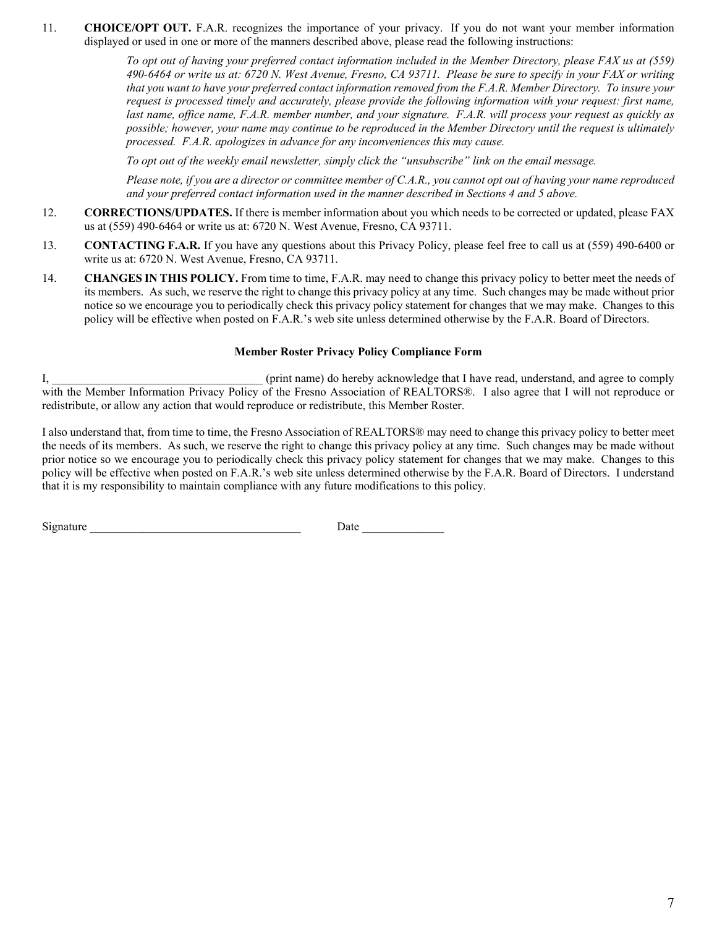11. **CHOICE/OPT OUT.** F.A.R. recognizes the importance of your privacy. If you do not want your member information displayed or used in one or more of the manners described above, please read the following instructions:

> *To opt out of having your preferred contact information included in the Member Directory, please FAX us at (559) 490-6464 or write us at: 6720 N. West Avenue, Fresno, CA 93711. Please be sure to specify in your FAX or writing that you want to have your preferred contact information removed from the F.A.R. Member Directory. To insure your request is processed timely and accurately, please provide the following information with your request: first name, last name, office name, F.A.R. member number, and your signature. F.A.R. will process your request as quickly as possible; however, your name may continue to be reproduced in the Member Directory until the request is ultimately processed. F.A.R. apologizes in advance for any inconveniences this may cause.*

*To opt out of the weekly email newsletter, simply click the "unsubscribe" link on the email message.*

*Please note, if you are a director or committee member of C.A.R., you cannot opt out of having your name reproduced and your preferred contact information used in the manner described in Sections 4 and 5 above.*

- 12. **CORRECTIONS/UPDATES.** If there is member information about you which needs to be corrected or updated, please FAX us at (559) 490-6464 or write us at: 6720 N. West Avenue, Fresno, CA 93711.
- 13. **CONTACTING F.A.R.** If you have any questions about this Privacy Policy, please feel free to call us at (559) 490-6400 or write us at: 6720 N. West Avenue, Fresno, CA 93711.
- 14. **CHANGES IN THIS POLICY.** From time to time, F.A.R. may need to change this privacy policy to better meet the needs of its members. As such, we reserve the right to change this privacy policy at any time. Such changes may be made without prior notice so we encourage you to periodically check this privacy policy statement for changes that we may make. Changes to this policy will be effective when posted on F.A.R.'s web site unless determined otherwise by the F.A.R. Board of Directors.

### **Member Roster Privacy Policy Compliance Form**

I, example that I have read, understand, and agree to comply (print name) do hereby acknowledge that I have read, understand, and agree to comply with the Member Information Privacy Policy of the Fresno Association of REALTORS®. I also agree that I will not reproduce or redistribute, or allow any action that would reproduce or redistribute, this Member Roster.

I also understand that, from time to time, the Fresno Association of REALTORS® may need to change this privacy policy to better meet the needs of its members. As such, we reserve the right to change this privacy policy at any time. Such changes may be made without prior notice so we encourage you to periodically check this privacy policy statement for changes that we may make. Changes to this policy will be effective when posted on F.A.R.'s web site unless determined otherwise by the F.A.R. Board of Directors. I understand that it is my responsibility to maintain compliance with any future modifications to this policy.

Signature Date Date  $\Box$